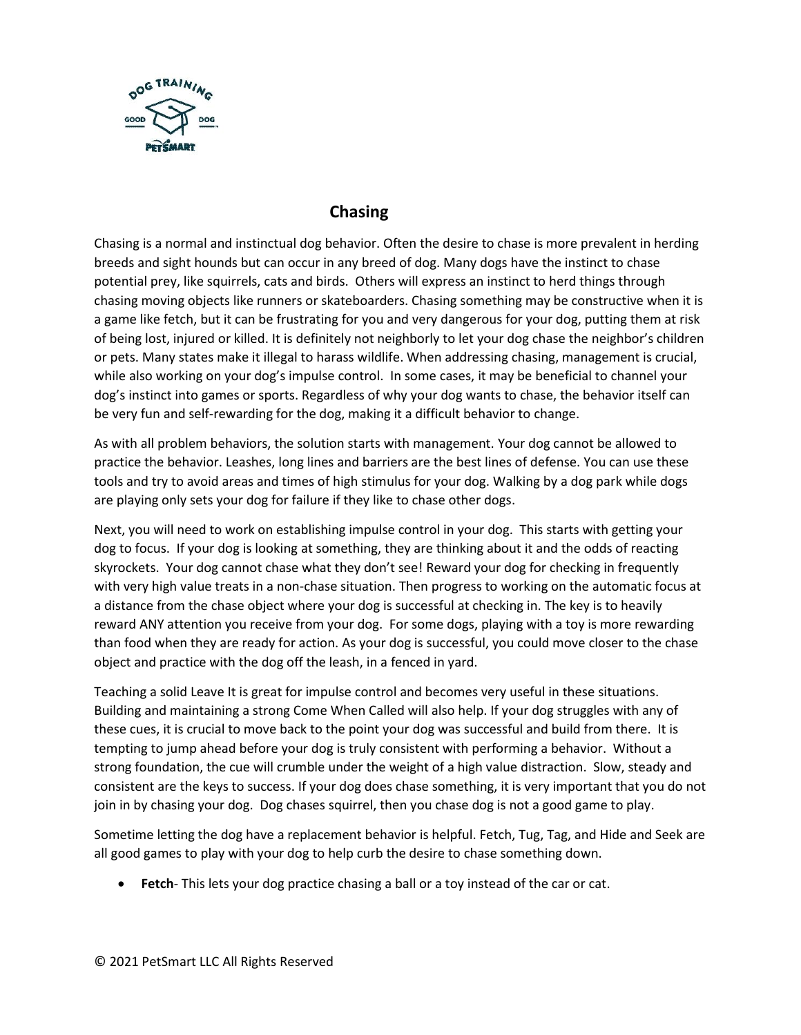

## **Chasing**

Chasing is a normal and instinctual dog behavior. Often the desire to chase is more prevalent in herding breeds and sight hounds but can occur in any breed of dog. Many dogs have the instinct to chase potential prey, like squirrels, cats and birds. Others will express an instinct to herd things through chasing moving objects like runners or skateboarders. Chasing something may be constructive when it is a game like fetch, but it can be frustrating for you and very dangerous for your dog, putting them at risk of being lost, injured or killed. It is definitely not neighborly to let your dog chase the neighbor's children or pets. Many states make it illegal to harass wildlife. When addressing chasing, management is crucial, while also working on your dog's impulse control. In some cases, it may be beneficial to channel your dog's instinct into games or sports. Regardless of why your dog wants to chase, the behavior itself can be very fun and self-rewarding for the dog, making it a difficult behavior to change.

As with all problem behaviors, the solution starts with management. Your dog cannot be allowed to practice the behavior. Leashes, long lines and barriers are the best lines of defense. You can use these tools and try to avoid areas and times of high stimulus for your dog. Walking by a dog park while dogs are playing only sets your dog for failure if they like to chase other dogs.

Next, you will need to work on establishing impulse control in your dog. This starts with getting your dog to focus. If your dog is looking at something, they are thinking about it and the odds of reacting skyrockets. Your dog cannot chase what they don't see! Reward your dog for checking in frequently with very high value treats in a non-chase situation. Then progress to working on the automatic focus at a distance from the chase object where your dog is successful at checking in. The key is to heavily reward ANY attention you receive from your dog. For some dogs, playing with a toy is more rewarding than food when they are ready for action. As your dog is successful, you could move closer to the chase object and practice with the dog off the leash, in a fenced in yard.

Teaching a solid Leave It is great for impulse control and becomes very useful in these situations. Building and maintaining a strong Come When Called will also help. If your dog struggles with any of these cues, it is crucial to move back to the point your dog was successful and build from there. It is tempting to jump ahead before your dog is truly consistent with performing a behavior. Without a strong foundation, the cue will crumble under the weight of a high value distraction. Slow, steady and consistent are the keys to success. If your dog does chase something, it is very important that you do not join in by chasing your dog. Dog chases squirrel, then you chase dog is not a good game to play.

Sometime letting the dog have a replacement behavior is helpful. Fetch, Tug, Tag, and Hide and Seek are all good games to play with your dog to help curb the desire to chase something down.

• **Fetch**- This lets your dog practice chasing a ball or a toy instead of the car or cat.